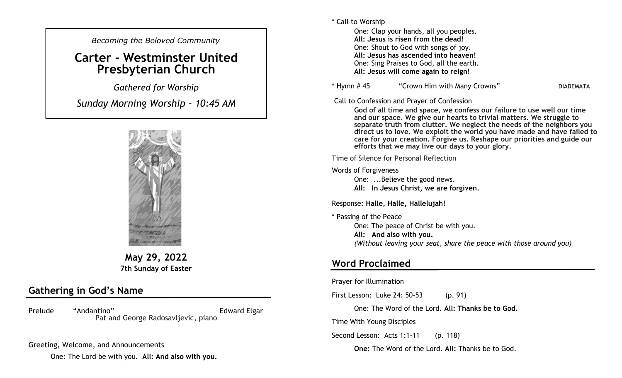*Becoming the Beloved Community* 

# **Carter - Westminster United Presbyterian Church**

*Gathered for Worship* 

*Sunday Morning Worship - 10:45 AM*



**May 29, 2022 7th Sunday of Easter**

## **Gathering in God's Name**

Prelude "Andantino" **Edward Elgar** Pat and George Radosavljevic, piano

Greeting, Welcome, and Announcements

One: The Lord be with you**. All: And also with you.**

\* Call to Worship

One: Clap your hands, all you peoples. **All: Jesus is risen from the dead!** One: Shout to God with songs of joy. **All: Jesus has ascended into heaven!** One: Sing Praises to God, all the earth. **All: Jesus will come again to reign!**

\* Hymn # 45 "Crown Him with Many Crowns" DIADEMATA

Call to Confession and Prayer of Confession

**God of all time and space, we confess our failure to use well our time and our space. We give our hearts to trivial matters. We struggle to separate truth from clutter. We neglect the needs of the neighbors you direct us to love. We exploit the world you have made and have failed to care for your creation. Forgive us. Reshape our priorities and guide our efforts that we may live our days to your glory.**

Time of Silence for Personal Reflection

Words of Forgiveness

One: ...Believe the good news. **All: In Jesus Christ, we are forgiven.** 

Response: **Halle, Halle, Hallelujah!**

\* Passing of the Peace One: The peace of Christ be with you. **All: And also with you.**  *(Without leaving your seat, share the peace with those around you)*

### **Word Proclaimed**

Prayer for Illumination

First Lesson: Luke 24: 50-53 (p. 91)

One: The Word of the Lord. **All: Thanks be to God.**

Time With Young Disciples

Second Lesson: Acts 1:1-11 (p. 118)

**One:** The Word of the Lord. **All:** Thanks be to God.